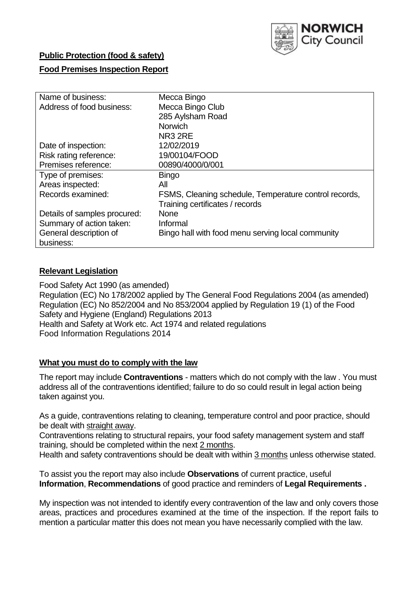

## **Public Protection (food & safety)**

## **Food Premises Inspection Report**

| Name of business:            | Mecca Bingo                                           |  |  |  |  |
|------------------------------|-------------------------------------------------------|--|--|--|--|
| Address of food business:    | Mecca Bingo Club                                      |  |  |  |  |
|                              | 285 Aylsham Road                                      |  |  |  |  |
|                              | <b>Norwich</b>                                        |  |  |  |  |
|                              | NR <sub>3</sub> 2RE                                   |  |  |  |  |
| Date of inspection:          | 12/02/2019                                            |  |  |  |  |
| Risk rating reference:       | 19/00104/FOOD                                         |  |  |  |  |
| Premises reference:          | 00890/4000/0/001                                      |  |  |  |  |
| Type of premises:            | <b>Bingo</b>                                          |  |  |  |  |
| Areas inspected:             | All                                                   |  |  |  |  |
| Records examined:            | FSMS, Cleaning schedule, Temperature control records, |  |  |  |  |
|                              | Training certificates / records                       |  |  |  |  |
| Details of samples procured: | <b>None</b>                                           |  |  |  |  |
| Summary of action taken:     | Informal                                              |  |  |  |  |
| General description of       | Bingo hall with food menu serving local community     |  |  |  |  |
| business:                    |                                                       |  |  |  |  |

#### **Relevant Legislation**

Food Safety Act 1990 (as amended) Regulation (EC) No 178/2002 applied by The General Food Regulations 2004 (as amended) Regulation (EC) No 852/2004 and No 853/2004 applied by Regulation 19 (1) of the Food Safety and Hygiene (England) Regulations 2013 Health and Safety at Work etc. Act 1974 and related regulations Food Information Regulations 2014

#### **What you must do to comply with the law**

The report may include **Contraventions** - matters which do not comply with the law . You must address all of the contraventions identified; failure to do so could result in legal action being taken against you.

As a guide, contraventions relating to cleaning, temperature control and poor practice, should be dealt with straight away.

Contraventions relating to structural repairs, your food safety management system and staff training, should be completed within the next 2 months.

Health and safety contraventions should be dealt with within 3 months unless otherwise stated.

To assist you the report may also include **Observations** of current practice, useful **Information**, **Recommendations** of good practice and reminders of **Legal Requirements .**

My inspection was not intended to identify every contravention of the law and only covers those areas, practices and procedures examined at the time of the inspection. If the report fails to mention a particular matter this does not mean you have necessarily complied with the law.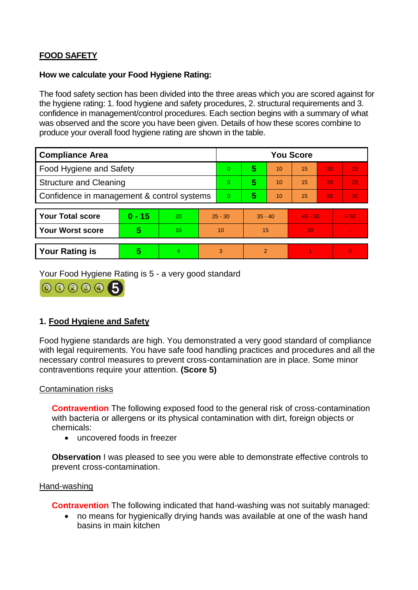# **FOOD SAFETY**

### **How we calculate your Food Hygiene Rating:**

The food safety section has been divided into the three areas which you are scored against for the hygiene rating: 1. food hygiene and safety procedures, 2. structural requirements and 3. confidence in management/control procedures. Each section begins with a summary of what was observed and the score you have been given. Details of how these scores combine to produce your overall food hygiene rating are shown in the table.

| <b>Compliance Area</b>                     |          |                  |           | <b>You Score</b> |                |    |           |    |                |  |  |
|--------------------------------------------|----------|------------------|-----------|------------------|----------------|----|-----------|----|----------------|--|--|
| Food Hygiene and Safety                    |          |                  |           | 0                | 5              | 10 | 15        | 20 | 25             |  |  |
| <b>Structure and Cleaning</b>              |          |                  |           | $\Omega$         | 5              | 10 | 15        | 20 | 25             |  |  |
| Confidence in management & control systems |          |                  |           | $\Omega$         | 5              | 10 | 15        | 20 | 30             |  |  |
|                                            |          |                  |           |                  |                |    |           |    |                |  |  |
| <b>Your Total score</b>                    | $0 - 15$ | 20               | $25 - 30$ |                  | $35 - 40$      |    | $45 - 50$ |    | > 50           |  |  |
| <b>Your Worst score</b>                    | 5        | 10 <sup>10</sup> | 10        |                  | 15             |    | 20        |    | $\blacksquare$ |  |  |
|                                            |          |                  |           |                  |                |    |           |    |                |  |  |
| <b>Your Rating is</b>                      | 5        | 4                | 3         |                  | $\overline{2}$ |    |           |    | $\overline{0}$ |  |  |

Your Food Hygiene Rating is 5 - a very good standard



# **1. Food Hygiene and Safety**

Food hygiene standards are high. You demonstrated a very good standard of compliance with legal requirements. You have safe food handling practices and procedures and all the necessary control measures to prevent cross-contamination are in place. Some minor contraventions require your attention. **(Score 5)**

## Contamination risks

**Contravention** The following exposed food to the general risk of cross-contamination with bacteria or allergens or its physical contamination with dirt, foreign objects or chemicals:

uncovered foods in freezer

**Observation** I was pleased to see you were able to demonstrate effective controls to prevent cross-contamination.

#### Hand-washing

**Contravention** The following indicated that hand-washing was not suitably managed:

 no means for hygienically drying hands was available at one of the wash hand basins in main kitchen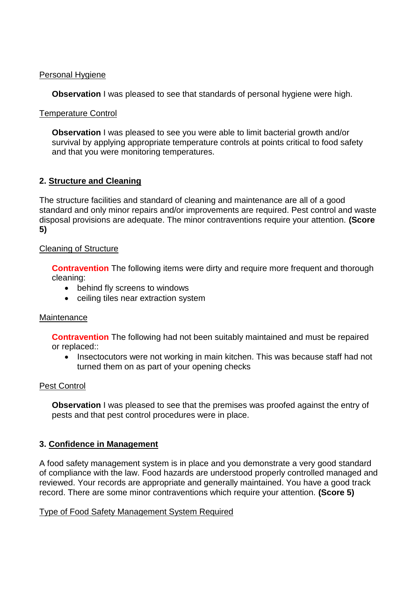### Personal Hygiene

**Observation** I was pleased to see that standards of personal hygiene were high.

## Temperature Control

**Observation** I was pleased to see you were able to limit bacterial growth and/or survival by applying appropriate temperature controls at points critical to food safety and that you were monitoring temperatures.

# **2. Structure and Cleaning**

The structure facilities and standard of cleaning and maintenance are all of a good standard and only minor repairs and/or improvements are required. Pest control and waste disposal provisions are adequate. The minor contraventions require your attention. **(Score 5)**

## Cleaning of Structure

**Contravention** The following items were dirty and require more frequent and thorough cleaning:

- behind fly screens to windows
- ceiling tiles near extraction system

## **Maintenance**

**Contravention** The following had not been suitably maintained and must be repaired or replaced::

• Insectocutors were not working in main kitchen. This was because staff had not turned them on as part of your opening checks

# Pest Control

**Observation** I was pleased to see that the premises was proofed against the entry of pests and that pest control procedures were in place.

# **3. Confidence in Management**

A food safety management system is in place and you demonstrate a very good standard of compliance with the law. Food hazards are understood properly controlled managed and reviewed. Your records are appropriate and generally maintained. You have a good track record. There are some minor contraventions which require your attention. **(Score 5)**

## Type of Food Safety Management System Required